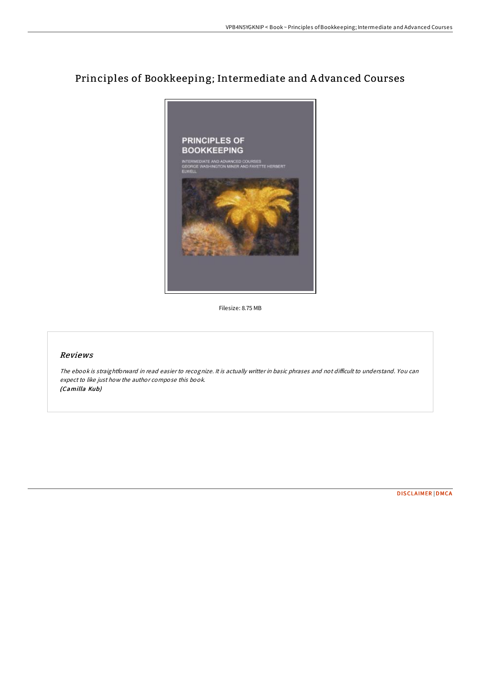# Principles of Bookkeeping; Intermediate and A dvanced Courses



Filesize: 8.75 MB

### Reviews

The ebook is straightforward in read easier to recognize. It is actually writter in basic phrases and not difficult to understand. You can expect to like just how the author compose this book. (Camilla Kub)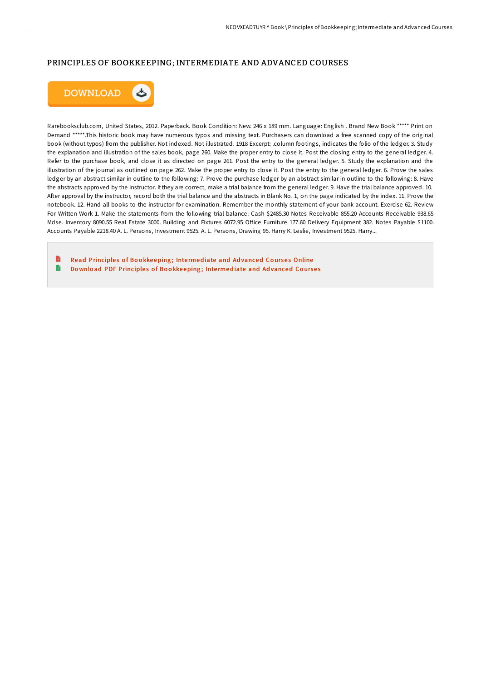#### PRINCIPLES OF BOOKKEEPING; INTERMEDIATE AND ADVANCED COURSES



Rarebooksclub.com, United States, 2012. Paperback. Book Condition: New. 246 x 189 mm. Language: English . Brand New Book \*\*\*\*\* Print on Demand \*\*\*\*\*.This historic book may have numerous typos and missing text. Purchasers can download a free scanned copy of the original book (without typos) from the publisher. Not indexed. Not illustrated. 1918 Excerpt: .column footings, indicates the folio of the ledger. 3. Study the explanation and illustration of the sales book, page 260. Make the proper entry to close it. Post the closing entry to the general ledger. 4. Refer to the purchase book, and close it as directed on page 261. Post the entry to the general ledger. 5. Study the explanation and the illustration of the journal as outlined on page 262. Make the proper entry to close it. Post the entry to the general ledger. 6. Prove the sales ledger by an abstract similar in outline to the following: 7. Prove the purchase ledger by an abstract similar in outline to the following: 8. Have the abstracts approved by the instructor. If they are correct, make a trial balance from the general ledger. 9. Have the trial balance approved. 10. After approval by the instructor, record both the trial balance and the abstracts in Blank No. 1, on the page indicated by the index. 11. Prove the notebook. 12. Hand all books to the instructor for examination. Remember the monthly statement of your bank account. Exercise 62. Review For Written Work 1. Make the statements from the following trial balance: Cash \$2485.30 Notes Receivable 855.20 Accounts Receivable 938.65 Mdse. Inventory 8090.55 Real Estate 3000. Building and Fixtures 6072.95 Office Furniture 177.60 Delivery Equipment 382. Notes Payable \$1100. Accounts Payable 2218.40 A. L. Persons, Investment 9525. A. L. Persons, Drawing 95. Harry K. Leslie, Investment 9525. Harry...

Read [Principle](http://almighty24.tech/principles-of-bookkeeping-intermediate-and-advan.html)s of Bookkeeping; Intermediate and Advanced Courses Online B Download PDF [Principle](http://almighty24.tech/principles-of-bookkeeping-intermediate-and-advan.html)s of Bookkeeping; Intermediate and Advanced Courses